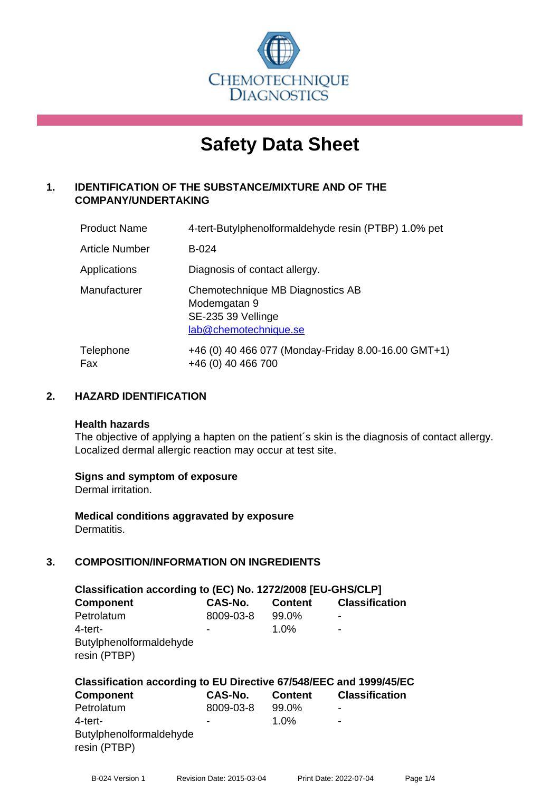

# **Safety Data Sheet**

# **1. IDENTIFICATION OF THE SUBSTANCE/MIXTURE AND OF THE COMPANY/UNDERTAKING**

| <b>Product Name</b> | 4-tert-Butylphenolformaldehyde resin (PTBP) 1.0% pet                                            |
|---------------------|-------------------------------------------------------------------------------------------------|
| Article Number      | $B-024$                                                                                         |
| Applications        | Diagnosis of contact allergy.                                                                   |
| Manufacturer        | Chemotechnique MB Diagnostics AB<br>Modemgatan 9<br>SE-235 39 Vellinge<br>lab@chemotechnique.se |
| Telephone<br>Fax    | +46 (0) 40 466 077 (Monday-Friday 8.00-16.00 GMT+1)<br>+46 (0) 40 466 700                       |

# **2. HAZARD IDENTIFICATION**

#### **Health hazards**

The objective of applying a hapten on the patient's skin is the diagnosis of contact allergy. Localized dermal allergic reaction may occur at test site.

# **Signs and symptom of exposure**

Dermal irritation.

**Medical conditions aggravated by exposure** Dermatitis.

# **3. COMPOSITION/INFORMATION ON INGREDIENTS**

| Classification according to (EC) No. 1272/2008 [EU-GHS/CLP] |           |                |                       |
|-------------------------------------------------------------|-----------|----------------|-----------------------|
| <b>Component</b>                                            | CAS-No.   | <b>Content</b> | <b>Classification</b> |
| Petrolatum                                                  | 8009-03-8 | 99.0%          |                       |
| 4-tert-<br>Butylphenolformaldehyde<br>resin (PTBP)          | ۰         | $1.0\%$        | ۰                     |

| Classification according to EU Directive 67/548/EEC and 1999/45/EC |                |                |                          |  |
|--------------------------------------------------------------------|----------------|----------------|--------------------------|--|
| <b>Component</b>                                                   | <b>CAS-No.</b> | <b>Content</b> | <b>Classification</b>    |  |
| Petrolatum                                                         | 8009-03-8      | 99.0%          | ۰                        |  |
| 4-tert-                                                            | -              | 1.0%           | $\overline{\phantom{a}}$ |  |
| Butylphenolformaldehyde<br>resin (PTBP)                            |                |                |                          |  |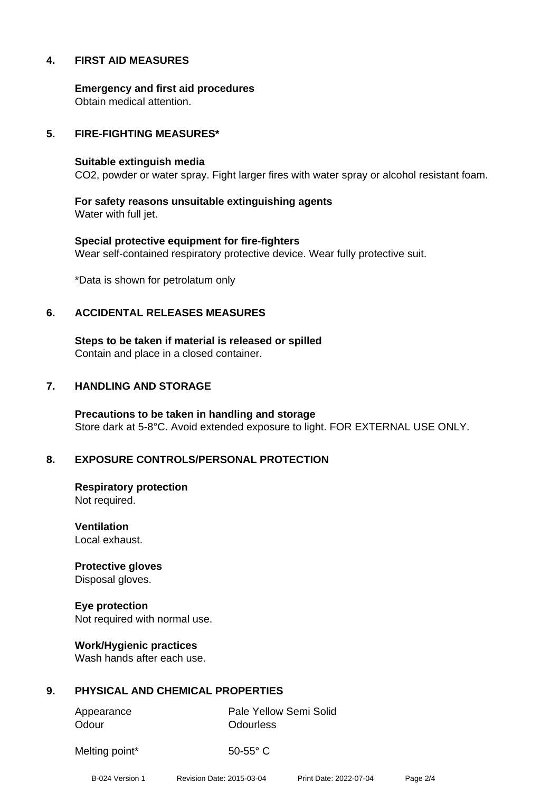# **4. FIRST AID MEASURES**

**Emergency and first aid procedures** Obtain medical attention.

### **5. FIRE-FIGHTING MEASURES\***

#### **Suitable extinguish media**

CO2, powder or water spray. Fight larger fires with water spray or alcohol resistant foam.

**For safety reasons unsuitable extinguishing agents** Water with full jet.

**Special protective equipment for fire-fighters** Wear self-contained respiratory protective device. Wear fully protective suit.

\*Data is shown for petrolatum only

#### **6. ACCIDENTAL RELEASES MEASURES**

**Steps to be taken if material is released or spilled** Contain and place in a closed container.

#### **7. HANDLING AND STORAGE**

**Precautions to be taken in handling and storage** Store dark at 5-8°C. Avoid extended exposure to light. FOR EXTERNAL USE ONLY.

# **8. EXPOSURE CONTROLS/PERSONAL PROTECTION**

**Respiratory protection** Not required.

**Ventilation** Local exhaust.

**Protective gloves** Disposal gloves.

**Eye protection** Not required with normal use.

**Work/Hygienic practices** Wash hands after each use.

# **9. PHYSICAL AND CHEMICAL PROPERTIES**

Odour **Odourless** 

Appearance Pale Yellow Semi Solid

Melting point\* 50-55° C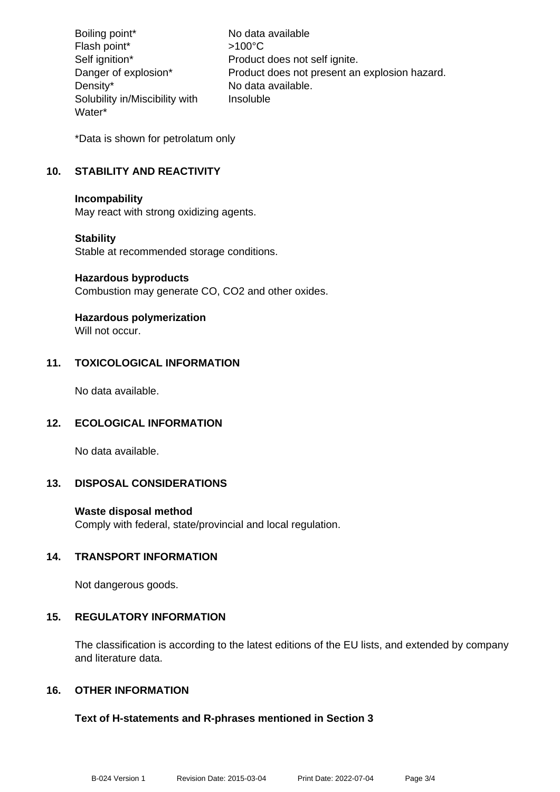Boiling point\* No data available Flash point\* >100°C Self ignition\* Product does not self ignite. Danger of explosion\* Product does not present an explosion hazard. Density\* No data available. Solubility in/Miscibility with Water\* Insoluble

\*Data is shown for petrolatum only

# **10. STABILITY AND REACTIVITY**

#### **Incompability**

May react with strong oxidizing agents.

# **Stability**

Stable at recommended storage conditions.

#### **Hazardous byproducts**

Combustion may generate CO, CO2 and other oxides.

# **Hazardous polymerization**

Will not occur.

# **11. TOXICOLOGICAL INFORMATION**

No data available.

# **12. ECOLOGICAL INFORMATION**

No data available.

# **13. DISPOSAL CONSIDERATIONS**

# **Waste disposal method**

Comply with federal, state/provincial and local regulation.

# **14. TRANSPORT INFORMATION**

Not dangerous goods.

# **15. REGULATORY INFORMATION**

The classification is according to the latest editions of the EU lists, and extended by company and literature data.

# **16. OTHER INFORMATION**

# **Text of H-statements and R-phrases mentioned in Section 3**